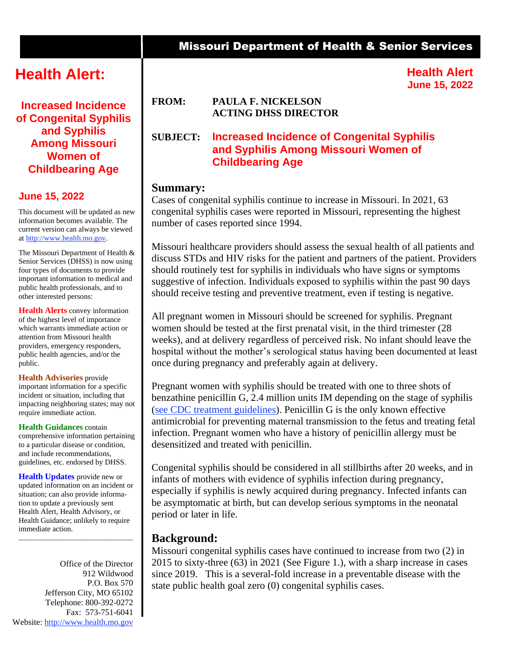# **Health Alert:**

**Increased Incidence of Congenital Syphilis and Syphilis Among Missouri Women of Childbearing Age**

#### **June 15, 2022**

This document will be updated as new information becomes available. The current version can always be viewed at [http://www.health.mo.gov.](http://www.health.mo.gov/)

The Missouri Department of Health & Senior Services (DHSS) is now using four types of documents to provide important information to medical and public health professionals, and to other interested persons:

**Health Alerts** convey information of the highest level of importance which warrants immediate action or attention from Missouri health providers, emergency responders, public health agencies, and/or the public.

**Health Advisories** provide important information for a specific incident or situation, including that impacting neighboring states; may not require immediate action.

**Health Guidances** contain comprehensive information pertaining to a particular disease or condition, and include recommendations, guidelines, etc. endorsed by DHSS.

**Health Updates** provide new or updated information on an incident or situation; can also provide information to update a previously sent Health Alert, Health Advisory, or Health Guidance; unlikely to require immediate action.

\_\_\_\_\_\_\_\_\_\_\_\_\_\_\_\_\_\_\_\_\_\_\_\_\_\_\_\_\_\_\_\_\_\_

Office of the Director 912 Wildwood P.O. Box 570 Jefferson City, MO 65102 Telephone: 800-392-0272 Fax: 573-751-6041 Website: [http://www.health.mo.gov](http://www.health.mo.gov/)

## Missouri Department of Health & Senior Services

**Health Alert June 15, 2022**

#### **FROM: PAULA F. NICKELSON ACTING DHSS DIRECTOR**

## **SUBJECT: Increased Incidence of Congenital Syphilis and Syphilis Among Missouri Women of Childbearing Age**

#### **Summary:**

Cases of congenital syphilis continue to increase in Missouri. In 2021, 63 congenital syphilis cases were reported in Missouri, representing the highest number of cases reported since 1994.

Missouri healthcare providers should assess the sexual health of all patients and discuss STDs and HIV risks for the patient and partners of the patient. Providers should routinely test for syphilis in individuals who have signs or symptoms suggestive of infection. Individuals exposed to syphilis within the past 90 days should receive testing and preventive treatment, even if testing is negative.

All pregnant women in Missouri should be screened for syphilis. Pregnant women should be tested at the first prenatal visit, in the third trimester (28 weeks), and at delivery regardless of perceived risk. No infant should leave the hospital without the mother's serological status having been documented at least once during pregnancy and preferably again at delivery.

Pregnant women with syphilis should be treated with one to three shots of benzathine penicillin G, 2.4 million units IM depending on the stage of syphilis [\(see CDC treatment guidelines\)](https://www.cdc.gov/std/treatment-guidelines/syphilis-pregnancy.htm). Penicillin G is the only known effective antimicrobial for preventing maternal transmission to the fetus and treating fetal infection. Pregnant women who have a history of penicillin allergy must be desensitized and treated with penicillin.

Congenital syphilis should be considered in all stillbirths after 20 weeks, and in infants of mothers with evidence of syphilis infection during pregnancy, especially if syphilis is newly acquired during pregnancy. Infected infants can be asymptomatic at birth, but can develop serious symptoms in the neonatal period or later in life.

## **Background:**

Missouri congenital syphilis cases have continued to increase from two (2) in 2015 to sixty-three (63) in 2021 (See Figure 1.), with a sharp increase in cases since 2019. This is a several-fold increase in a preventable disease with the state public health goal zero (0) congenital syphilis cases.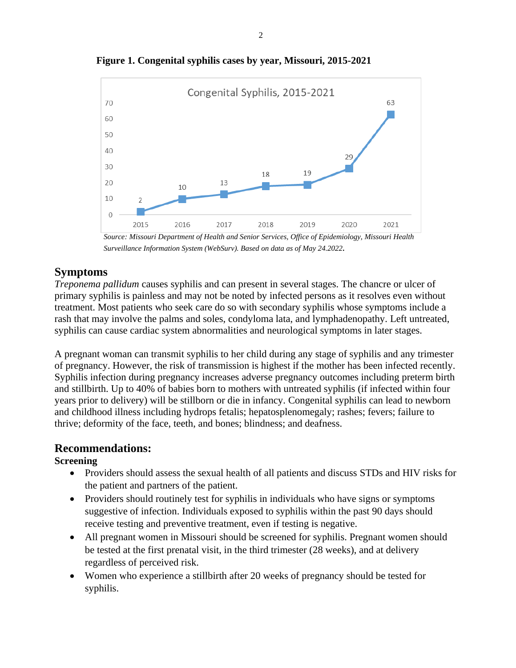

**Figure 1. Congenital syphilis cases by year, Missouri, 2015-2021**

*Source: Missouri Department of Health and Senior Services, Office of Epidemiology, Missouri Health Surveillance Information System (WebSurv). Based on data as of May 24.2022.*

## **Symptoms**

*Treponema pallidum* causes syphilis and can present in several stages. The chancre or ulcer of primary syphilis is painless and may not be noted by infected persons as it resolves even without treatment. Most patients who seek care do so with secondary syphilis whose symptoms include a rash that may involve the palms and soles, condyloma lata, and lymphadenopathy. Left untreated, syphilis can cause cardiac system abnormalities and neurological symptoms in later stages.

A pregnant woman can transmit syphilis to her child during any stage of syphilis and any trimester of pregnancy. However, the risk of transmission is highest if the mother has been infected recently. Syphilis infection during pregnancy increases adverse pregnancy outcomes including preterm birth and stillbirth. Up to 40% of babies born to mothers with untreated syphilis (if infected within four years prior to delivery) will be stillborn or die in infancy. Congenital syphilis can lead to newborn and childhood illness including hydrops fetalis; hepatosplenomegaly; rashes; fevers; failure to thrive; deformity of the face, teeth, and bones; blindness; and deafness.

## **Recommendations:**

#### **Screening**

- Providers should assess the sexual health of all patients and discuss STDs and HIV risks for the patient and partners of the patient.
- Providers should routinely test for syphilis in individuals who have signs or symptoms suggestive of infection. Individuals exposed to syphilis within the past 90 days should receive testing and preventive treatment, even if testing is negative.
- All pregnant women in Missouri should be screened for syphilis. Pregnant women should be tested at the first prenatal visit, in the third trimester (28 weeks), and at delivery regardless of perceived risk.
- Women who experience a stillbirth after 20 weeks of pregnancy should be tested for syphilis.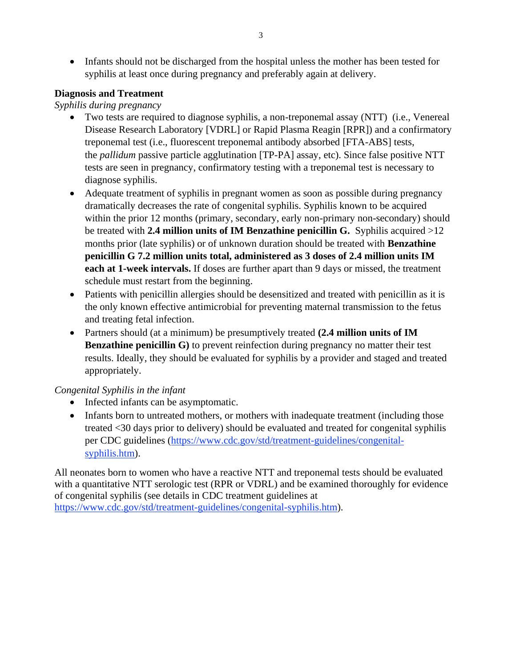• Infants should not be discharged from the hospital unless the mother has been tested for syphilis at least once during pregnancy and preferably again at delivery.

#### **Diagnosis and Treatment**

#### *Syphilis during pregnancy*

- Two tests are required to diagnose syphilis, a non-treponemal assay (NTT) (i.e., Venereal Disease Research Laboratory [VDRL] or Rapid Plasma Reagin [RPR]) and a confirmatory treponemal test (i.e., fluorescent treponemal antibody absorbed [FTA-ABS] tests, the *pallidum* passive particle agglutination [TP-PA] assay, etc). Since false positive NTT tests are seen in pregnancy, confirmatory testing with a treponemal test is necessary to diagnose syphilis.
- Adequate treatment of syphilis in pregnant women as soon as possible during pregnancy dramatically decreases the rate of congenital syphilis. Syphilis known to be acquired within the prior 12 months (primary, secondary, early non-primary non-secondary) should be treated with **2.4 million units of IM Benzathine penicillin G.** Syphilis acquired >12 months prior (late syphilis) or of unknown duration should be treated with **Benzathine penicillin G 7.2 million units total, administered as 3 doses of 2.4 million units IM each at 1-week intervals.** If doses are further apart than 9 days or missed, the treatment schedule must restart from the beginning.
- Patients with penicillin allergies should be desensitized and treated with penicillin as it is the only known effective antimicrobial for preventing maternal transmission to the fetus and treating fetal infection.
- Partners should (at a minimum) be presumptively treated **(2.4 million units of IM Benzathine penicillin G**) to prevent reinfection during pregnancy no matter their test results. Ideally, they should be evaluated for syphilis by a provider and staged and treated appropriately.

## *Congenital Syphilis in the infant*

- Infected infants can be asymptomatic.
- Infants born to untreated mothers, or mothers with inadequate treatment (including those treated <30 days prior to delivery) should be evaluated and treated for congenital syphilis per CDC guidelines [\(https://www.cdc.gov/std/treatment-guidelines/congenital](https://www.cdc.gov/std/treatment-guidelines/congenital-syphilis.htm)[syphilis.htm\)](https://www.cdc.gov/std/treatment-guidelines/congenital-syphilis.htm).

All neonates born to women who have a reactive NTT and treponemal tests should be evaluated with a quantitative NTT serologic test (RPR or VDRL) and be examined thoroughly for evidence of congenital syphilis (see details in CDC treatment guidelines at [https://www.cdc.gov/std/treatment-guidelines/congenital-syphilis.htm\)](https://www.cdc.gov/std/treatment-guidelines/congenital-syphilis.htm).